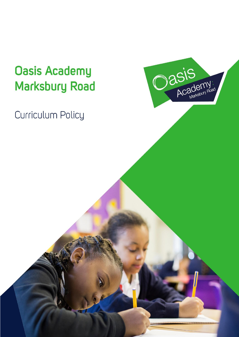# **Oasis Academy Marksbury Road**

Curriculum Policy

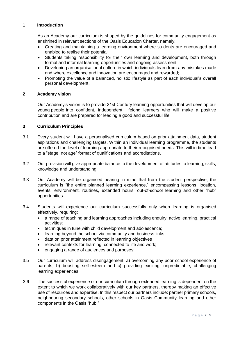# **1 Introduction**

As an Academy our curriculum is shaped by the guidelines for community engagement as enshrined in relevant sections of the Oasis Education Charter, namely:

- Creating and maintaining a learning environment where students are encouraged and enabled to realise their potential;
- Students taking responsibility for their own learning and development, both through formal and informal learning opportunities and ongoing assessment;
- Developing an organisational culture in which individuals learn from any mistakes made and where excellence and innovation are encouraged and rewarded;
- Promoting the value of a balanced, holistic lifestyle as part of each individual's overall personal development.

# **2 Academy vision**

Our Academy's vision is to provide 21st Century learning opportunities that will develop our young people into confident, independent, lifelong learners who will make a positive contribution and are prepared for leading a good and successful life.

# **3 Curriculum Principles**

- 3.1 Every student will have a personalised curriculum based on prior attainment data, student aspirations and challenging targets. Within an individual learning programme, the students are offered the level of learning appropriate to their recognised needs. This will in time lead to a "stage, not age" format of qualifications and accreditations.
- 3.2 Our provision will give appropriate balance to the development of attitudes to learning, skills, knowledge and understanding.
- 3.3 Our Academy will be organised bearing in mind that from the student perspective, the curriculum is "the entire planned learning experience," encompassing lessons, location, events, environment, routines, extended hours, out-of-school learning and other "hub" opportunities.
- 3.4 Students will experience our curriculum successfully only when learning is organised effectively, requiring:
	- a range of teaching and learning approaches including enquiry, active learning, practical activities;
	- techniques in tune with child development and adolescence;
	- learning beyond the school via community and business links;
	- data on prior attainment reflected in learning objectives
	- relevant contexts for learning, connected to life and work;
	- engaging a range of audiences and purposes;
- 3.5 Our curriculum will address disengagement: a) overcoming any poor school experience of parents; b) boosting self-esteem and c) providing exciting, unpredictable, challenging learning experiences.
- 3.6 The successful experience of our curriculum through extended learning is dependent on the extent to which we work collaboratively with our key partners, thereby making an effective use of resources and expertise. In this respect our partners include: partner primary schools, neighbouring secondary schools, other schools in Oasis Community learning and other components in the Oasis "hub."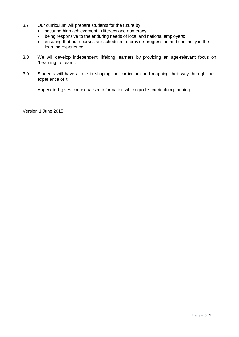- 3.7 Our curriculum will prepare students for the future by:
	- securing high achievement in literacy and numeracy;
	- being responsive to the enduring needs of local and national employers;
	- ensuring that our courses are scheduled to provide progression and continuity in the learning experience.
- 3.8 We will develop independent, lifelong learners by providing an age-relevant focus on "Learning to Learn".
- 3.9 Students will have a role in shaping the curriculum and mapping their way through their experience of it.

Appendix 1 gives contextualised information which guides curriculum planning.

Version 1 June 2015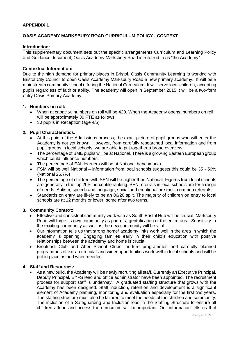# **APPENDIX 1**

# **OASIS ACADEMY MARKSBURY ROAD CURRICULUM POLICY - CONTEXT**

# **Introduction:**

This supplementary document sets out the specific arrangements Curriculum and Learning Policy and Guidance document, Oasis Academy Marksbury Road is referred to as "the Academy".

# **Contextual Information:**

Due to the high demand for primary places in Bristol, Oasis Community Learning is working with Bristol City Council to open Oasis Academy Marksbury Road a new primary academy. It will be a mainstream community school offering the National Curriculum. It will serve local children, accepting pupils regardless of faith or ability. The academy will open in September 2015.It will be a two-form entry Oasis Primary Academy

# **1. Numbers on roll:**

- When at capacity, numbers on roll will be 420. When the Academy opens, numbers on roll will be approximately 30 FTE as follows:
- 30 pupils in Reception (age 4/5)

# **2. Pupil Characteristics:**

- At this point of the Admissions process, the exact picture of pupil groups who will enter the Academy is not yet known. However, from carefully researched local information and from pupil groups in local schools, we are able to put together a broad overview.
- The percentage of BME pupils will be at National. There is a growing Eastern European group which could influence numbers.
- The percentage of EAL learners will be at National benchmarks.
- FSM will be well National information from local schools suggests this could be 35 50% (National 26.7%)
- The percentage of children with SEN will be higher than National. Figures from local schools are generally in the top 20% percentile ranking. SEN referrals in local schools are for a range of needs. Autism, speech and language, social and emotional are most common referrals.
- Standards on entry are likely to be an 80/20 split. The majority of children on entry to local schools are at 12 months or lower, some after two terms.

#### **3. Community Context:**

- Effective and consistent community work with as South Bristol Hub will be crucial. Marksbury Road will forge its own community as part of a gentrification of the entire area. Sensitivity to the exciting community as well as the new community will be vital.
- Our information tells us that strong home/ academy links work well in the area in which the academy is opening. Engaging families early in their child's education with positive relationships between the academy and home is crucial.
- Breakfast Club and After School Clubs, nurture programmes and carefully planned programmes of extra-curricular and wider opportunities work well in local schools and will be put in place as and when needed

#### **4. Staff and Resources:**

 As a new build, the Academy will be newly recruiting all staff. Currently an Executive Principal, Deputy Principal, EYFS lead and office administrator have been appointed. The recruitment process for support staff is underway. A graduated staffing structure that grows with the Academy has been designed. Staff induction, retention and development is a significant element of Academy planning, monitoring and evaluation especially for the first two years. The staffing structure must also be tailored to meet the needs of the children and community. The inclusion of a Safeguarding and Inclusion lead in the Staffing Structure to ensure all children attend and access the curriculum will be important. Our information tells us that